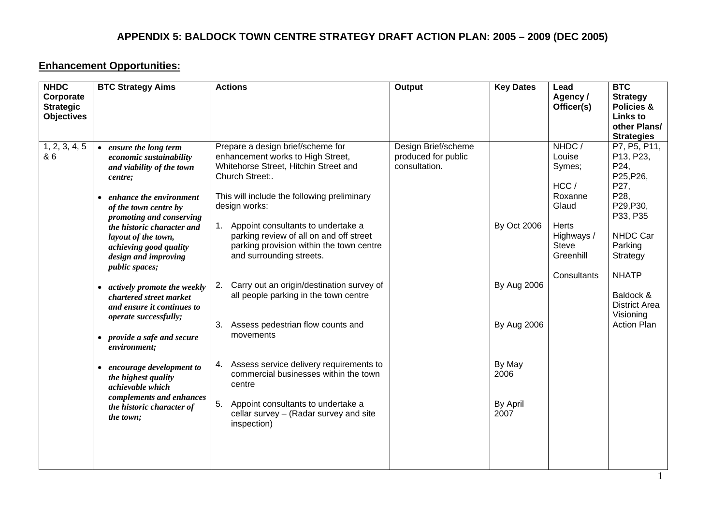### **Enhancement Opportunities:**

| <b>NHDC</b><br>Corporate<br><b>Strategic</b><br><b>Objectives</b> | <b>BTC Strategy Aims</b>                                                                                                                                                                                                                                                                                                                                                                                                                                                                                                                                                                                                     | <b>Actions</b>                                                                                                                                                                                                                                                                                                                                                                                                                                                                                                                                                                                                                                                                                               | <b>Output</b>                                               | <b>Key Dates</b>                                                                                     | Lead<br>Agency /<br>Officer(s)                                                                                           | <b>BTC</b><br><b>Strategy</b><br>Policies &<br><b>Links to</b><br>other Plans/<br><b>Strategies</b>                                                                                                                |
|-------------------------------------------------------------------|------------------------------------------------------------------------------------------------------------------------------------------------------------------------------------------------------------------------------------------------------------------------------------------------------------------------------------------------------------------------------------------------------------------------------------------------------------------------------------------------------------------------------------------------------------------------------------------------------------------------------|--------------------------------------------------------------------------------------------------------------------------------------------------------------------------------------------------------------------------------------------------------------------------------------------------------------------------------------------------------------------------------------------------------------------------------------------------------------------------------------------------------------------------------------------------------------------------------------------------------------------------------------------------------------------------------------------------------------|-------------------------------------------------------------|------------------------------------------------------------------------------------------------------|--------------------------------------------------------------------------------------------------------------------------|--------------------------------------------------------------------------------------------------------------------------------------------------------------------------------------------------------------------|
| 1, 2, 3, 4, 5<br>& 6                                              | • ensure the long term<br>economic sustainability<br>and viability of the town<br>centre;<br>• enhance the environment<br>of the town centre by<br>promoting and conserving<br>the historic character and<br>layout of the town,<br>achieving good quality<br>design and improving<br><i>public spaces;</i><br>• actively promote the weekly<br>chartered street market<br>and ensure it continues to<br>operate successfully;<br>• provide a safe and secure<br>environment;<br>• encourage development to<br>the highest quality<br>achievable which<br>complements and enhances<br>the historic character of<br>the town; | Prepare a design brief/scheme for<br>enhancement works to High Street,<br>Whitehorse Street, Hitchin Street and<br>Church Street:.<br>This will include the following preliminary<br>design works:<br>1. Appoint consultants to undertake a<br>parking review of all on and off street<br>parking provision within the town centre<br>and surrounding streets.<br>Carry out an origin/destination survey of<br>2.<br>all people parking in the town centre<br>Assess pedestrian flow counts and<br>movements<br>4. Assess service delivery requirements to<br>commercial businesses within the town<br>centre<br>Appoint consultants to undertake a<br>cellar survey - (Radar survey and site<br>inspection) | Design Brief/scheme<br>produced for public<br>consultation. | <b>By Oct 2006</b><br><b>By Aug 2006</b><br><b>By Aug 2006</b><br>By May<br>2006<br>By April<br>2007 | NHDC/<br>Louise<br>Symes;<br>HCC/<br>Roxanne<br>Glaud<br>Herts<br>Highways /<br><b>Steve</b><br>Greenhill<br>Consultants | P7, P5, P11,<br>P13, P23,<br>P24,<br>P25, P26,<br>P27,<br>P28,<br>P29, P30,<br>P33, P35<br>NHDC Car<br>Parking<br>Strategy<br><b>NHATP</b><br>Baldock &<br><b>District Area</b><br>Visioning<br><b>Action Plan</b> |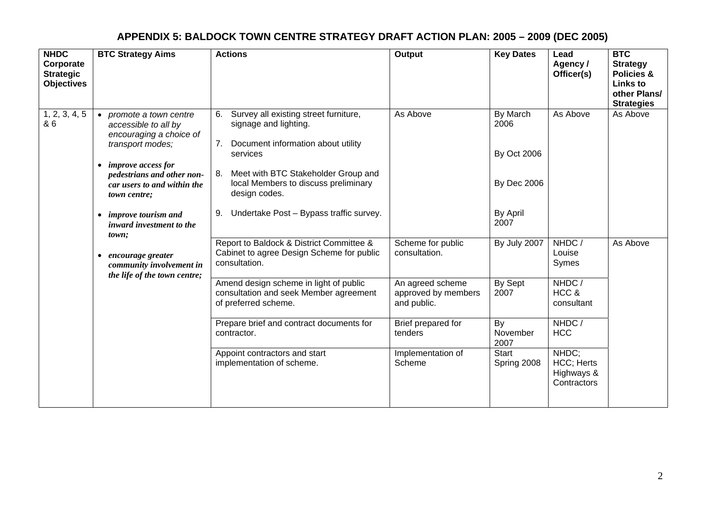| <b>NHDC</b><br>Corporate<br><b>Strategic</b><br><b>Objectives</b> | <b>BTC Strategy Aims</b>                                                                                                                                                                                                                                                                                | <b>Actions</b>                                                                                                                                                                                                                                                                            | Output                                                                                                             | <b>Key Dates</b>                                                                 | Lead<br>Agency /<br>Officer(s)                                     | <b>BTC</b><br><b>Strategy</b><br>Policies &<br><b>Links to</b><br>other Plans/<br><b>Strategies</b> |
|-------------------------------------------------------------------|---------------------------------------------------------------------------------------------------------------------------------------------------------------------------------------------------------------------------------------------------------------------------------------------------------|-------------------------------------------------------------------------------------------------------------------------------------------------------------------------------------------------------------------------------------------------------------------------------------------|--------------------------------------------------------------------------------------------------------------------|----------------------------------------------------------------------------------|--------------------------------------------------------------------|-----------------------------------------------------------------------------------------------------|
| 1, 2, 3, 4, 5<br>& 6                                              | promote a town centre<br>$\bullet$<br>accessible to all by<br>encouraging a choice of<br>transport modes;<br><i>improve access for</i><br>$\bullet$<br>pedestrians and other non-<br>car users to and within the<br>town centre;<br><i>improve tourism and</i><br>$\bullet$<br>inward investment to the | Survey all existing street furniture,<br>6.<br>signage and lighting.<br>Document information about utility<br>7 <sub>1</sub><br>services<br>Meet with BTC Stakeholder Group and<br>local Members to discuss preliminary<br>design codes.<br>Undertake Post - Bypass traffic survey.<br>9. | As Above                                                                                                           | By March<br>2006<br><b>By Oct 2006</b><br><b>By Dec 2006</b><br>By April<br>2007 | As Above                                                           | As Above                                                                                            |
|                                                                   | town;<br>encourage greater<br>$\bullet$<br>community involvement in<br>the life of the town centre;                                                                                                                                                                                                     | Report to Baldock & District Committee &<br>Cabinet to agree Design Scheme for public<br>consultation.<br>Amend design scheme in light of public<br>consultation and seek Member agreement<br>of preferred scheme.<br>Prepare brief and contract documents for                            | Scheme for public<br>consultation.<br>An agreed scheme<br>approved by members<br>and public.<br>Brief prepared for | By July 2007<br>By Sept<br>2007<br>By                                            | NHDC/<br>Louise<br>Symes<br>NHDC/<br>HCC &<br>consultant<br>NHDC / | As Above                                                                                            |
|                                                                   |                                                                                                                                                                                                                                                                                                         | contractor.<br>Appoint contractors and start<br>implementation of scheme.                                                                                                                                                                                                                 | tenders<br>Implementation of<br>Scheme                                                                             | November<br>2007<br>Start<br>Spring 2008                                         | <b>HCC</b><br>NHDC;<br>HCC; Herts<br>Highways &<br>Contractors     |                                                                                                     |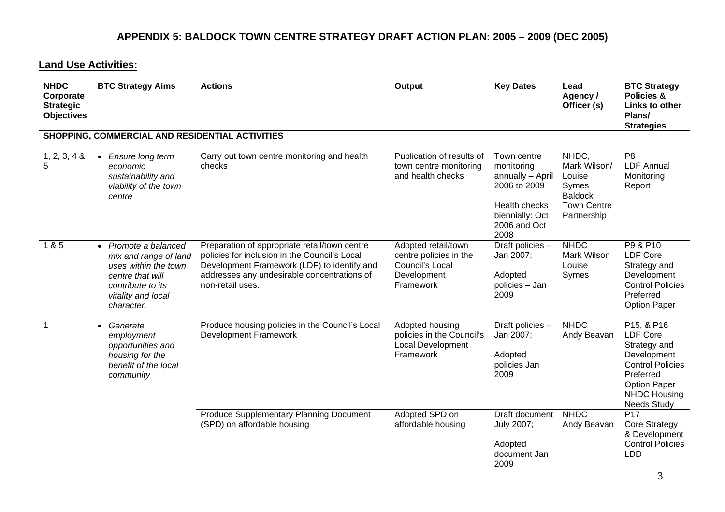#### **Land Use Activities:**

| <b>NHDC</b><br>Corporate<br><b>Strategic</b><br><b>Objectives</b> | <b>BTC Strategy Aims</b>                                                                                                                           | <b>Actions</b>                                                                                                                                                                                                   | Output                                                                                       | <b>Key Dates</b>                                                                                                          | Lead<br>Agency/<br>Officer (s)                                                                  | <b>BTC Strategy</b><br><b>Policies &amp;</b><br>Links to other<br>Plans/<br><b>Strategies</b>                                                                                              |
|-------------------------------------------------------------------|----------------------------------------------------------------------------------------------------------------------------------------------------|------------------------------------------------------------------------------------------------------------------------------------------------------------------------------------------------------------------|----------------------------------------------------------------------------------------------|---------------------------------------------------------------------------------------------------------------------------|-------------------------------------------------------------------------------------------------|--------------------------------------------------------------------------------------------------------------------------------------------------------------------------------------------|
|                                                                   | SHOPPING, COMMERCIAL AND RESIDENTIAL ACTIVITIES                                                                                                    |                                                                                                                                                                                                                  |                                                                                              |                                                                                                                           |                                                                                                 |                                                                                                                                                                                            |
| $1, 2, 3, 4$ &<br>5                                               | • Ensure long term<br>economic<br>sustainability and<br>viability of the town<br>centre                                                            | Carry out town centre monitoring and health<br>checks                                                                                                                                                            | Publication of results of<br>town centre monitoring<br>and health checks                     | Town centre<br>monitoring<br>annually - April<br>2006 to 2009<br>Health checks<br>biennially: Oct<br>2006 and Oct<br>2008 | NHDC,<br>Mark Wilson/<br>Louise<br>Symes<br><b>Baldock</b><br><b>Town Centre</b><br>Partnership | P <sub>8</sub><br><b>LDF Annual</b><br>Monitoring<br>Report                                                                                                                                |
| 185                                                               | • Promote a balanced<br>mix and range of land<br>uses within the town<br>centre that will<br>contribute to its<br>vitality and local<br>character. | Preparation of appropriate retail/town centre<br>policies for inclusion in the Council's Local<br>Development Framework (LDF) to identify and<br>addresses any undesirable concentrations of<br>non-retail uses. | Adopted retail/town<br>centre policies in the<br>Council's Local<br>Development<br>Framework | Draft policies -<br>Jan 2007;<br>Adopted<br>policies - Jan<br>2009                                                        | <b>NHDC</b><br>Mark Wilson<br>Louise<br>Symes                                                   | P9 & P10<br><b>LDF Core</b><br>Strategy and<br>Development<br><b>Control Policies</b><br>Preferred<br><b>Option Paper</b>                                                                  |
| $\mathbf 1$                                                       | • Generate<br>employment<br>opportunities and<br>housing for the<br>benefit of the local<br>community                                              | Produce housing policies in the Council's Local<br><b>Development Framework</b>                                                                                                                                  | Adopted housing<br>policies in the Council's<br><b>Local Development</b><br>Framework        | Draft policies -<br>Jan 2007;<br>Adopted<br>policies Jan<br>2009                                                          | <b>NHDC</b><br>Andy Beavan                                                                      | P <sub>15</sub> , & P <sub>16</sub><br><b>LDF Core</b><br>Strategy and<br>Development<br><b>Control Policies</b><br>Preferred<br><b>Option Paper</b><br>NHDC Housing<br><b>Needs Study</b> |
|                                                                   |                                                                                                                                                    | Produce Supplementary Planning Document<br>(SPD) on affordable housing                                                                                                                                           | Adopted SPD on<br>affordable housing                                                         | <b>Draft document</b><br>July 2007;<br>Adopted<br>document Jan<br>2009                                                    | <b>NHDC</b><br>Andy Beavan                                                                      | P <sub>17</sub><br><b>Core Strategy</b><br>& Development<br><b>Control Policies</b><br><b>LDD</b>                                                                                          |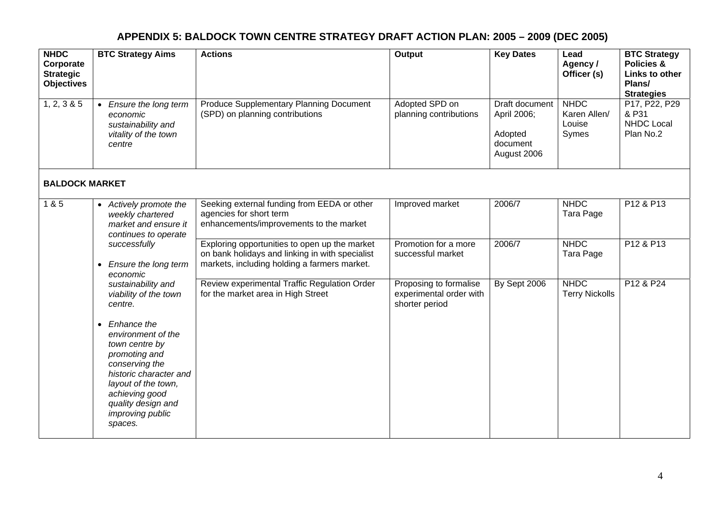| <b>NHDC</b><br>Corporate<br><b>Strategic</b><br><b>Objectives</b> | <b>BTC Strategy Aims</b>                                                                                                                                                                                                    | <b>Actions</b>                                                                                                                                   | Output                                                              | <b>Key Dates</b>                                                           | Lead<br>Agency /<br>Officer (s)                | <b>BTC Strategy</b><br>Policies &<br>Links to other<br>Plans/<br><b>Strategies</b> |
|-------------------------------------------------------------------|-----------------------------------------------------------------------------------------------------------------------------------------------------------------------------------------------------------------------------|--------------------------------------------------------------------------------------------------------------------------------------------------|---------------------------------------------------------------------|----------------------------------------------------------------------------|------------------------------------------------|------------------------------------------------------------------------------------|
| 1, 2, 3 & 5                                                       | • Ensure the long term<br>economic<br>sustainability and<br>vitality of the town<br>centre                                                                                                                                  | Produce Supplementary Planning Document<br>(SPD) on planning contributions                                                                       | Adopted SPD on<br>planning contributions                            | <b>Draft document</b><br>April 2006;<br>Adopted<br>document<br>August 2006 | <b>NHDC</b><br>Karen Allen/<br>Louise<br>Symes | P17, P22, P29<br>& P31<br><b>NHDC Local</b><br>Plan No.2                           |
| <b>BALDOCK MARKET</b>                                             |                                                                                                                                                                                                                             |                                                                                                                                                  |                                                                     |                                                                            |                                                |                                                                                    |
| $\overline{1}$ & 5                                                | • Actively promote the<br>weekly chartered<br>market and ensure it<br>continues to operate                                                                                                                                  | Seeking external funding from EEDA or other<br>agencies for short term<br>enhancements/improvements to the market                                | Improved market                                                     | 2006/7                                                                     | <b>NHDC</b><br>Tara Page                       | P12 & P13                                                                          |
|                                                                   | successfully<br>Ensure the long term<br>$\bullet$<br>economic<br>sustainability and<br>viability of the town<br>centre.                                                                                                     | Exploring opportunities to open up the market<br>on bank holidays and linking in with specialist<br>markets, including holding a farmers market. | Promotion for a more<br>successful market                           | 2006/7                                                                     | <b>NHDC</b><br>Tara Page                       | P12 & P13                                                                          |
|                                                                   |                                                                                                                                                                                                                             | Review experimental Traffic Regulation Order<br>for the market area in High Street                                                               | Proposing to formalise<br>experimental order with<br>shorter period | By Sept 2006                                                               | <b>NHDC</b><br><b>Terry Nickolls</b>           | P12 & P24                                                                          |
|                                                                   | Enhance the<br>$\bullet$<br>environment of the<br>town centre by<br>promoting and<br>conserving the<br>historic character and<br>layout of the town,<br>achieving good<br>quality design and<br>improving public<br>spaces. |                                                                                                                                                  |                                                                     |                                                                            |                                                |                                                                                    |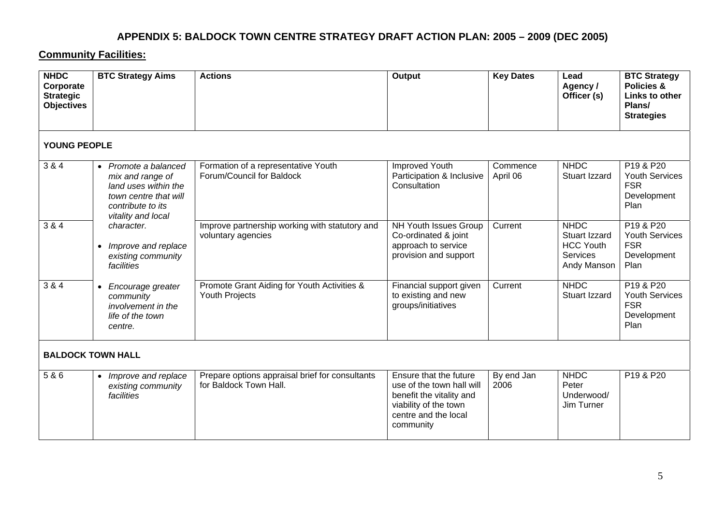#### **Community Facilities:**

| <b>NHDC</b><br>Corporate<br><b>Strategic</b><br><b>Objectives</b> | <b>BTC Strategy Aims</b>                                                                                                             | <b>Actions</b>                                                            | <b>Output</b>                                                                                                                                 | <b>Key Dates</b>     | Lead<br>Agency /<br>Officer (s)                                                           | <b>BTC Strategy</b><br>Policies &<br>Links to other<br>Plans/<br><b>Strategies</b>              |  |  |  |  |
|-------------------------------------------------------------------|--------------------------------------------------------------------------------------------------------------------------------------|---------------------------------------------------------------------------|-----------------------------------------------------------------------------------------------------------------------------------------------|----------------------|-------------------------------------------------------------------------------------------|-------------------------------------------------------------------------------------------------|--|--|--|--|
|                                                                   | YOUNG PEOPLE                                                                                                                         |                                                                           |                                                                                                                                               |                      |                                                                                           |                                                                                                 |  |  |  |  |
| 3 & 4                                                             | • Promote a balanced<br>mix and range of<br>land uses within the<br>town centre that will<br>contribute to its<br>vitality and local | Formation of a representative Youth<br>Forum/Council for Baldock          | <b>Improved Youth</b><br>Participation & Inclusive<br>Consultation                                                                            | Commence<br>April 06 | <b>NHDC</b><br>Stuart Izzard                                                              | P <sub>19</sub> & P <sub>20</sub><br><b>Youth Services</b><br><b>FSR</b><br>Development<br>Plan |  |  |  |  |
| 3 & 4                                                             | character.<br>Improve and replace<br>existing community<br>facilities                                                                | Improve partnership working with statutory and<br>voluntary agencies      | <b>NH Youth Issues Group</b><br>Co-ordinated & joint<br>approach to service<br>provision and support                                          | Current              | <b>NHDC</b><br><b>Stuart Izzard</b><br><b>HCC Youth</b><br><b>Services</b><br>Andy Manson | P19 & P20<br><b>Youth Services</b><br><b>FSR</b><br>Development<br>Plan                         |  |  |  |  |
| $\overline{384}$                                                  | Encourage greater<br>$\bullet$<br>community<br>involvement in the<br>life of the town<br>centre.                                     | Promote Grant Aiding for Youth Activities &<br><b>Youth Projects</b>      | Financial support given<br>to existing and new<br>groups/initiatives                                                                          | Current              | <b>NHDC</b><br>Stuart Izzard                                                              | P19 & P20<br><b>Youth Services</b><br><b>FSR</b><br>Development<br>Plan                         |  |  |  |  |
|                                                                   | <b>BALDOCK TOWN HALL</b>                                                                                                             |                                                                           |                                                                                                                                               |                      |                                                                                           |                                                                                                 |  |  |  |  |
| 5 & 6                                                             | • Improve and replace<br>existing community<br>facilities                                                                            | Prepare options appraisal brief for consultants<br>for Baldock Town Hall. | Ensure that the future<br>use of the town hall will<br>benefit the vitality and<br>viability of the town<br>centre and the local<br>community | By end Jan<br>2006   | <b>NHDC</b><br>Peter<br>Underwood/<br>Jim Turner                                          | P19 & P20                                                                                       |  |  |  |  |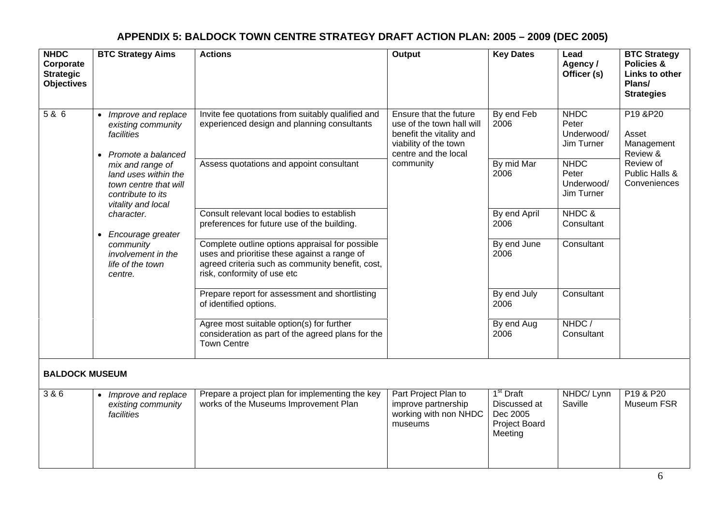| <b>NHDC</b><br>Corporate<br><b>Strategic</b><br><b>Objectives</b> | <b>BTC Strategy Aims</b>                                                                                     | <b>Actions</b>                                                                                                                                                                     | Output                                                                                                                           | <b>Key Dates</b>                                                              | Lead<br>Agency /<br>Officer (s)                  | <b>BTC Strategy</b><br>Policies &<br>Links to other<br>Plans/<br><b>Strategies</b> |
|-------------------------------------------------------------------|--------------------------------------------------------------------------------------------------------------|------------------------------------------------------------------------------------------------------------------------------------------------------------------------------------|----------------------------------------------------------------------------------------------------------------------------------|-------------------------------------------------------------------------------|--------------------------------------------------|------------------------------------------------------------------------------------|
| 5 & 6                                                             | Improve and replace<br>existing community<br>facilities<br>Promote a balanced<br>$\bullet$                   | Invite fee quotations from suitably qualified and<br>experienced design and planning consultants                                                                                   | Ensure that the future<br>use of the town hall will<br>benefit the vitality and<br>viability of the town<br>centre and the local | By end Feb<br>2006                                                            | <b>NHDC</b><br>Peter<br>Underwood/<br>Jim Turner | P19 & P20<br>Asset<br>Management<br>Review &                                       |
|                                                                   | mix and range of<br>land uses within the<br>town centre that will<br>contribute to its<br>vitality and local | Assess quotations and appoint consultant                                                                                                                                           | community                                                                                                                        | By mid Mar<br>2006                                                            | <b>NHDC</b><br>Peter<br>Underwood/<br>Jim Turner | Review of<br>Public Halls &<br>Conveniences                                        |
| $\bullet$                                                         | character.<br>Encourage greater                                                                              | Consult relevant local bodies to establish<br>preferences for future use of the building.                                                                                          |                                                                                                                                  | By end April<br>2006                                                          | NHDC &<br>Consultant                             |                                                                                    |
|                                                                   | community<br>involvement in the<br>life of the town<br>centre.                                               | Complete outline options appraisal for possible<br>uses and prioritise these against a range of<br>agreed criteria such as community benefit, cost,<br>risk, conformity of use etc |                                                                                                                                  | By end June<br>2006                                                           | Consultant                                       |                                                                                    |
|                                                                   |                                                                                                              | Prepare report for assessment and shortlisting<br>of identified options.                                                                                                           |                                                                                                                                  | By end July<br>2006                                                           | Consultant                                       |                                                                                    |
|                                                                   |                                                                                                              | Agree most suitable option(s) for further<br>consideration as part of the agreed plans for the<br><b>Town Centre</b>                                                               |                                                                                                                                  | By end Aug<br>2006                                                            | NHDC/<br>Consultant                              |                                                                                    |
| <b>BALDOCK MUSEUM</b>                                             |                                                                                                              |                                                                                                                                                                                    |                                                                                                                                  |                                                                               |                                                  |                                                                                    |
| 3 & 6                                                             | Improve and replace<br>$\bullet$<br>existing community<br>facilities                                         | Prepare a project plan for implementing the key<br>works of the Museums Improvement Plan                                                                                           | Part Project Plan to<br>improve partnership<br>working with non NHDC<br>museums                                                  | 1 <sup>st</sup> Draft<br>Discussed at<br>Dec 2005<br>Project Board<br>Meeting | NHDC/ Lynn<br>Saville                            | P19 & P20<br>Museum FSR                                                            |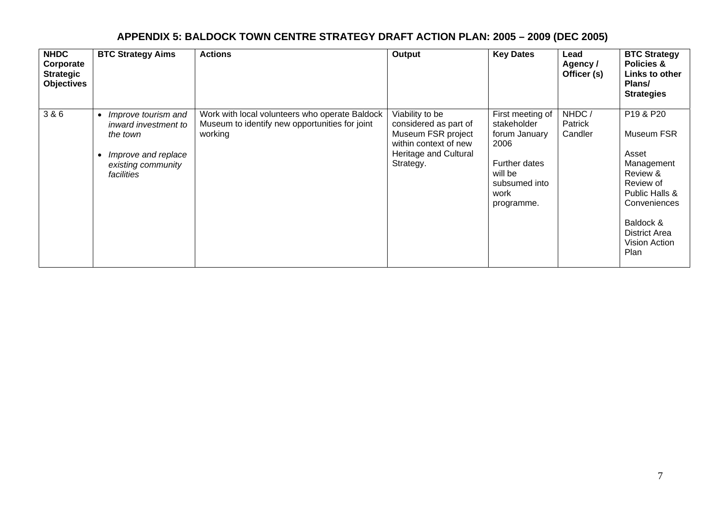| <b>NHDC</b><br>Corporate<br><b>Strategic</b> | <b>Objectives</b> | <b>BTC Strategy Aims</b>                                                                                                        | <b>Actions</b>                                                                                              | Output                                                                                                                        | <b>Key Dates</b>                                                                                                            | Lead<br>Agency /<br>Officer (s)    | <b>BTC Strategy</b><br>Policies &<br>Links to other<br>Plans/<br><b>Strategies</b>                                                                                      |
|----------------------------------------------|-------------------|---------------------------------------------------------------------------------------------------------------------------------|-------------------------------------------------------------------------------------------------------------|-------------------------------------------------------------------------------------------------------------------------------|-----------------------------------------------------------------------------------------------------------------------------|------------------------------------|-------------------------------------------------------------------------------------------------------------------------------------------------------------------------|
| 3 & 6                                        |                   | Improve tourism and<br>$\bullet$<br>inward investment to<br>the town<br>Improve and replace<br>existing community<br>facilities | Work with local volunteers who operate Baldock<br>Museum to identify new opportunities for joint<br>working | Viability to be<br>considered as part of<br>Museum FSR project<br>within context of new<br>Heritage and Cultural<br>Strategy. | First meeting of<br>stakeholder<br>forum January<br>2006<br>Further dates<br>will be<br>subsumed into<br>work<br>programme. | NHDC/<br><b>Patrick</b><br>Candler | P19 & P20<br>Museum FSR<br>Asset<br>Management<br>Review &<br>Review of<br>Public Halls &<br>Conveniences<br>Baldock &<br><b>District Area</b><br>Vision Action<br>Plan |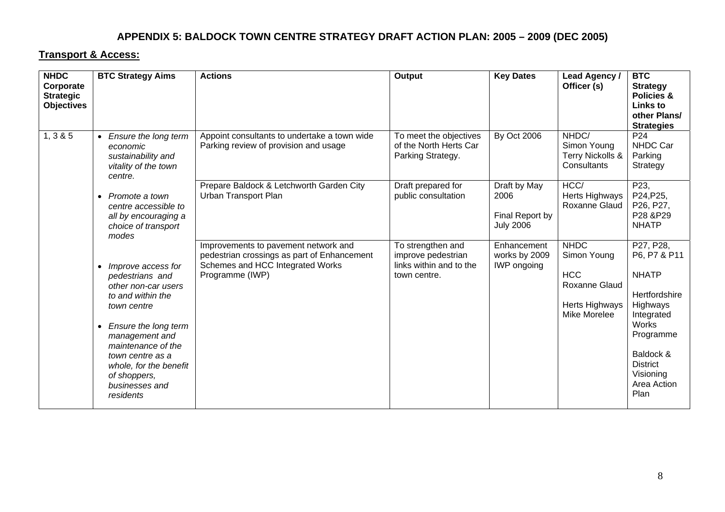#### **Transport & Access:**

| <b>NHDC</b><br>Corporate<br><b>Strategic</b><br><b>Objectives</b> | <b>BTC Strategy Aims</b>                                                                                                                                                                                                                                      | <b>Actions</b>                                                                                                                             | Output                                                                             | <b>Key Dates</b>                                            | Lead Agency /<br>Officer (s)                                                                       | <b>BTC</b><br><b>Strategy</b><br><b>Policies &amp;</b><br><b>Links to</b><br>other Plans/<br><b>Strategies</b>                                                                        |
|-------------------------------------------------------------------|---------------------------------------------------------------------------------------------------------------------------------------------------------------------------------------------------------------------------------------------------------------|--------------------------------------------------------------------------------------------------------------------------------------------|------------------------------------------------------------------------------------|-------------------------------------------------------------|----------------------------------------------------------------------------------------------------|---------------------------------------------------------------------------------------------------------------------------------------------------------------------------------------|
| 1, 3 & 5                                                          | • Ensure the long term<br>economic<br>sustainability and<br>vitality of the town<br>centre.                                                                                                                                                                   | Appoint consultants to undertake a town wide<br>Parking review of provision and usage                                                      | To meet the objectives<br>of the North Herts Car<br>Parking Strategy.              | <b>By Oct 2006</b>                                          | NHDC/<br>Simon Young<br>Terry Nickolls &<br>Consultants                                            | P24<br>NHDC Car<br>Parking<br>Strategy                                                                                                                                                |
|                                                                   | • Promote a town<br>centre accessible to<br>all by encouraging a<br>choice of transport<br>modes                                                                                                                                                              | Prepare Baldock & Letchworth Garden City<br>Urban Transport Plan                                                                           | Draft prepared for<br>public consultation                                          | Draft by May<br>2006<br>Final Report by<br><b>July 2006</b> | HCC/<br>Herts Highways<br>Roxanne Glaud                                                            | P23,<br>P24, P25,<br>P26, P27,<br>P28 &P29<br><b>NHATP</b>                                                                                                                            |
|                                                                   | Improve access for<br>pedestrians and<br>other non-car users<br>to and within the<br>town centre<br>Ensure the long term<br>management and<br>maintenance of the<br>town centre as a<br>whole, for the benefit<br>of shoppers,<br>businesses and<br>residents | Improvements to pavement network and<br>pedestrian crossings as part of Enhancement<br>Schemes and HCC Integrated Works<br>Programme (IWP) | To strengthen and<br>improve pedestrian<br>links within and to the<br>town centre. | Enhancement<br>works by 2009<br><b>IWP</b> ongoing          | <b>NHDC</b><br>Simon Young<br><b>HCC</b><br><b>Roxanne Glaud</b><br>Herts Highways<br>Mike Morelee | P27, P28,<br>P6, P7 & P11<br><b>NHATP</b><br>Hertfordshire<br>Highways<br>Integrated<br><b>Works</b><br>Programme<br>Baldock &<br><b>District</b><br>Visioning<br>Area Action<br>Plan |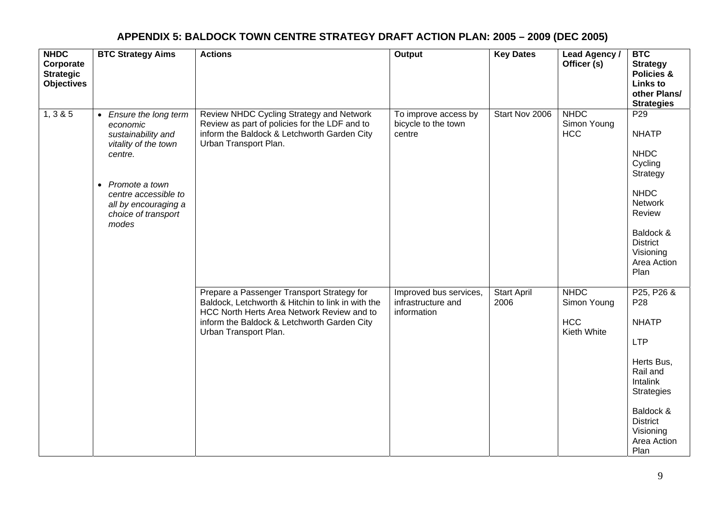| <b>NHDC</b><br>Corporate<br><b>Strategic</b><br><b>Objectives</b> | <b>BTC Strategy Aims</b>                                                                                                                                                                                   | <b>Actions</b>                                                                                                                                                                                                        | Output                                                      | <b>Key Dates</b>           | Lead Agency /<br>Officer (s)                            | <b>BTC</b><br><b>Strategy</b><br><b>Policies &amp;</b><br><b>Links to</b><br>other Plans/<br><b>Strategies</b>                                                                             |
|-------------------------------------------------------------------|------------------------------------------------------------------------------------------------------------------------------------------------------------------------------------------------------------|-----------------------------------------------------------------------------------------------------------------------------------------------------------------------------------------------------------------------|-------------------------------------------------------------|----------------------------|---------------------------------------------------------|--------------------------------------------------------------------------------------------------------------------------------------------------------------------------------------------|
| 1, 3 & 5                                                          | • Ensure the long term<br>economic<br>sustainability and<br>vitality of the town<br>centre.<br>Promote a town<br>$\bullet$<br>centre accessible to<br>all by encouraging a<br>choice of transport<br>modes | Review NHDC Cycling Strategy and Network<br>Review as part of policies for the LDF and to<br>inform the Baldock & Letchworth Garden City<br>Urban Transport Plan.                                                     | To improve access by<br>bicycle to the town<br>centre       | Start Nov 2006             | <b>NHDC</b><br>Simon Young<br><b>HCC</b>                | P <sub>29</sub><br><b>NHATP</b><br><b>NHDC</b><br>Cycling<br>Strategy<br><b>NHDC</b><br><b>Network</b><br>Review<br>Baldock &<br><b>District</b><br>Visioning<br>Area Action<br>Plan       |
|                                                                   |                                                                                                                                                                                                            | Prepare a Passenger Transport Strategy for<br>Baldock, Letchworth & Hitchin to link in with the<br>HCC North Herts Area Network Review and to<br>inform the Baldock & Letchworth Garden City<br>Urban Transport Plan. | Improved bus services,<br>infrastructure and<br>information | <b>Start April</b><br>2006 | <b>NHDC</b><br>Simon Young<br><b>HCC</b><br>Kieth White | P25, P26 &<br>P <sub>28</sub><br><b>NHATP</b><br><b>LTP</b><br>Herts Bus,<br>Rail and<br>Intalink<br><b>Strategies</b><br>Baldock &<br><b>District</b><br>Visioning<br>Area Action<br>Plan |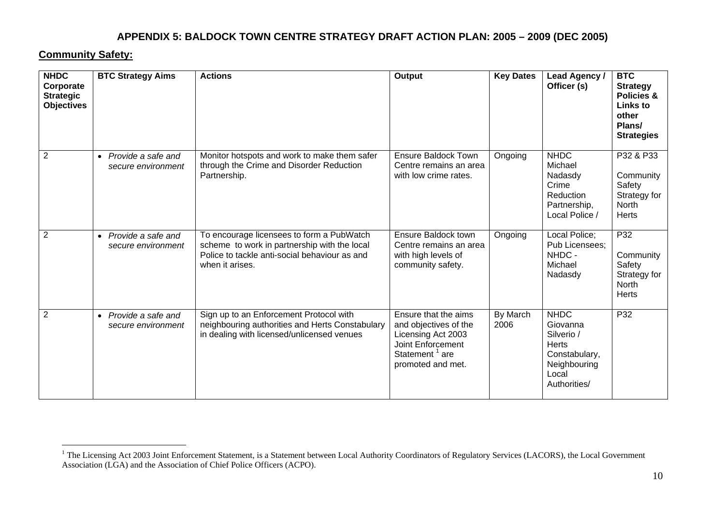#### **Community Safety:**

| <b>NHDC</b><br>Corporate<br><b>Strategic</b><br><b>Objectives</b> | <b>BTC Strategy Aims</b>                              | <b>Actions</b>                                                                                                                                                | Output                                                                                                                                      | <b>Key Dates</b> | Lead Agency /<br>Officer (s)                                                                             | <b>BTC</b><br><b>Strategy</b><br>Policies &<br><b>Links to</b><br>other<br>Plans/<br><b>Strategies</b> |
|-------------------------------------------------------------------|-------------------------------------------------------|---------------------------------------------------------------------------------------------------------------------------------------------------------------|---------------------------------------------------------------------------------------------------------------------------------------------|------------------|----------------------------------------------------------------------------------------------------------|--------------------------------------------------------------------------------------------------------|
| $\overline{2}$                                                    | Provide a safe and<br>$\bullet$<br>secure environment | Monitor hotspots and work to make them safer<br>through the Crime and Disorder Reduction<br>Partnership.                                                      | <b>Ensure Baldock Town</b><br>Centre remains an area<br>with low crime rates.                                                               | Ongoing          | <b>NHDC</b><br>Michael<br>Nadasdy<br>Crime<br>Reduction<br>Partnership,<br>Local Police /                | P32 & P33<br>Community<br>Safety<br>Strategy for<br><b>North</b><br><b>Herts</b>                       |
| $\overline{2}$                                                    | Provide a safe and<br>$\bullet$<br>secure environment | To encourage licensees to form a PubWatch<br>scheme to work in partnership with the local<br>Police to tackle anti-social behaviour as and<br>when it arises. | Ensure Baldock town<br>Centre remains an area<br>with high levels of<br>community safety.                                                   | Ongoing          | Local Police;<br>Pub Licensees;<br>NHDC -<br>Michael<br>Nadasdy                                          | P32<br>Community<br>Safety<br>Strategy for<br>North<br><b>Herts</b>                                    |
| $\overline{2}$                                                    | Provide a safe and<br>$\bullet$<br>secure environment | Sign up to an Enforcement Protocol with<br>neighbouring authorities and Herts Constabulary<br>in dealing with licensed/unlicensed venues                      | Ensure that the aims<br>and objectives of the<br>Licensing Act 2003<br>Joint Enforcement<br>Statement <sup>1</sup> are<br>promoted and met. | By March<br>2006 | <b>NHDC</b><br>Giovanna<br>Silverio /<br>Herts<br>Constabulary,<br>Neighbouring<br>Local<br>Authorities/ | P32                                                                                                    |

<sup>&</sup>lt;sup>1</sup> The Licensing Act 2003 Joint Enforcement Statement, is a Statement between Local Authority Coordinators of Regulatory Services (LACORS), the Local Government Association (LGA) and the Association of Chief Police Officers (ACPO).